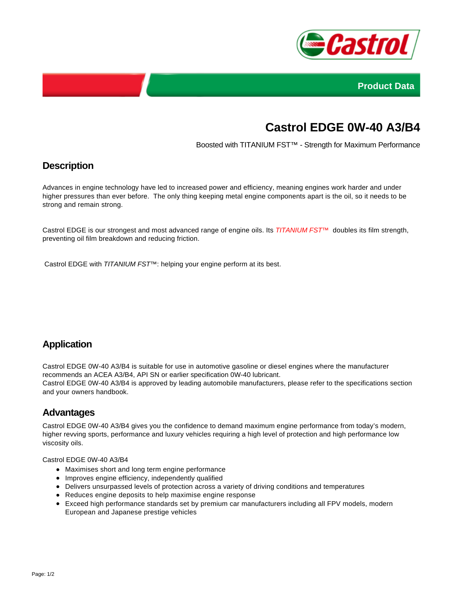



# **Castrol EDGE 0W-40 A3/B4**

Boosted with TITANIUM FST™ - Strength for Maximum Performance

## **Description**

Advances in engine technology have led to increased power and efficiency, meaning engines work harder and under higher pressures than ever before. The only thing keeping metal engine components apart is the oil, so it needs to be strong and remain strong.

Castrol EDGE is our strongest and most advanced range of engine oils. Its TITANIUM FST™ doubles its film strength, preventing oil film breakdown and reducing friction.

Castrol EDGE with TITANIUM FST<sup>™</sup>: helping your engine perform at its best.

## **Application**

Castrol EDGE 0W-40 A3/B4 is suitable for use in automotive gasoline or diesel engines where the manufacturer recommends an ACEA A3/B4, API SN or earlier specification 0W-40 lubricant. Castrol EDGE 0W-40 A3/B4 is approved by leading automobile manufacturers, please refer to the specifications section and your owners handbook.

#### **Advantages**

Castrol EDGE 0W-40 A3/B4 gives you the confidence to demand maximum engine performance from today's modern, higher revving sports, performance and luxury vehicles requiring a high level of protection and high performance low viscosity oils.

Castrol EDGE 0W-40 A3/B4

- Maximises short and long term engine performance
- Improves engine efficiency, independently qualified
- Delivers unsurpassed levels of protection across a variety of driving conditions and temperatures
- Reduces engine deposits to help maximise engine response
- Exceed high performance standards set by premium car manufacturers including all FPV models, modern European and Japanese prestige vehicles